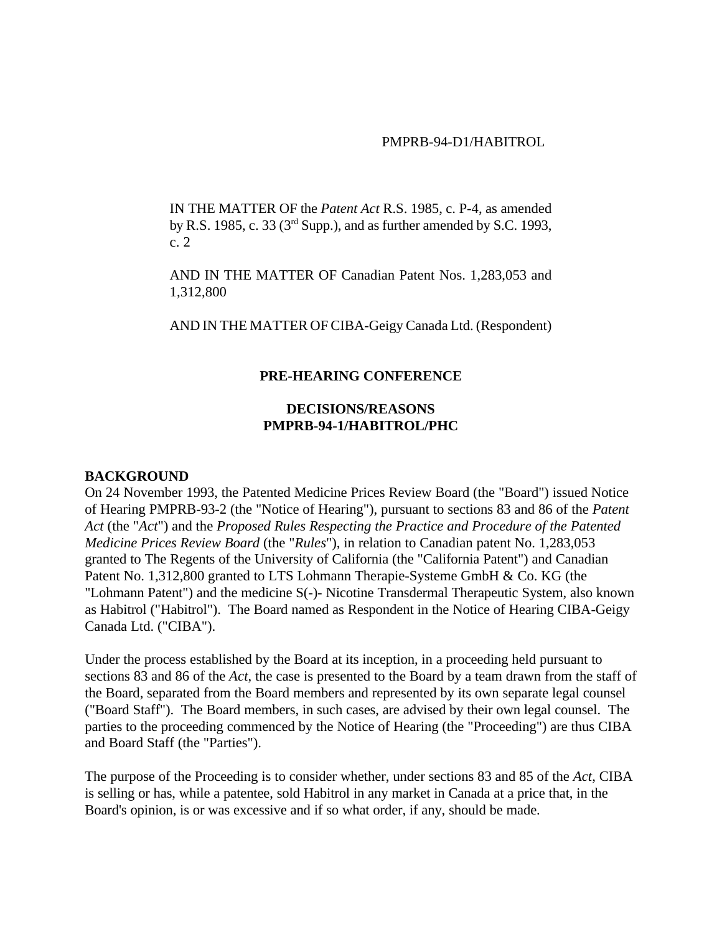#### PMPRB-94-D1/HABITROL

IN THE MATTER OF the *Patent Act* R.S. 1985, c. P-4, as amended by R.S. 1985, c. 33 (3rd Supp.), and as further amended by S.C. 1993, c. 2

AND IN THE MATTER OF Canadian Patent Nos. 1,283,053 and 1,312,800

AND IN THE MATTER OF CIBA-Geigy Canada Ltd. (Respondent)

#### **PRE-HEARING CONFERENCE**

## **DECISIONS/REASONS PMPRB-94-1/HABITROL/PHC**

#### **BACKGROUND**

On 24 November 1993, the Patented Medicine Prices Review Board (the "Board") issued Notice of Hearing PMPRB-93-2 (the "Notice of Hearing"), pursuant to sections 83 and 86 of the *Patent Act* (the "*Act*") and the *Proposed Rules Respecting the Practice and Procedure of the Patented Medicine Prices Review Board* (the "*Rules*"), in relation to Canadian patent No. 1,283,053 granted to The Regents of the University of California (the "California Patent") and Canadian Patent No. 1,312,800 granted to LTS Lohmann Therapie-Systeme GmbH & Co. KG (the "Lohmann Patent") and the medicine S(-)- Nicotine Transdermal Therapeutic System, also known as Habitrol ("Habitrol"). The Board named as Respondent in the Notice of Hearing CIBA-Geigy Canada Ltd. ("CIBA").

Under the process established by the Board at its inception, in a proceeding held pursuant to sections 83 and 86 of the *Act*, the case is presented to the Board by a team drawn from the staff of the Board, separated from the Board members and represented by its own separate legal counsel ("Board Staff"). The Board members, in such cases, are advised by their own legal counsel. The parties to the proceeding commenced by the Notice of Hearing (the "Proceeding") are thus CIBA and Board Staff (the "Parties").

The purpose of the Proceeding is to consider whether, under sections 83 and 85 of the *Act*, CIBA is selling or has, while a patentee, sold Habitrol in any market in Canada at a price that, in the Board's opinion, is or was excessive and if so what order, if any, should be made.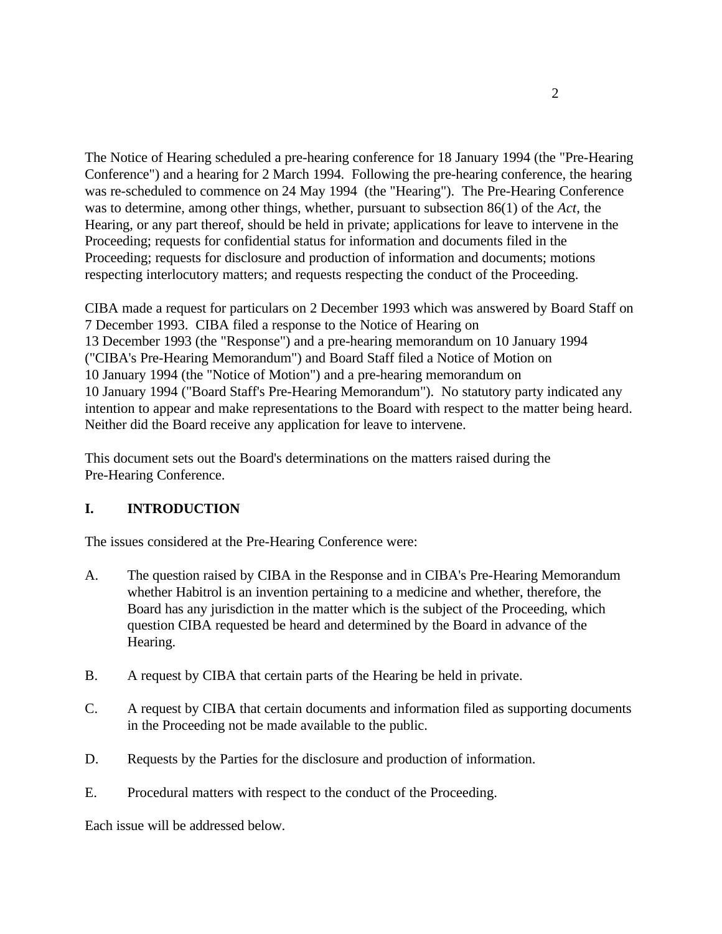The Notice of Hearing scheduled a pre-hearing conference for 18 January 1994 (the "Pre-Hearing Conference") and a hearing for 2 March 1994. Following the pre-hearing conference, the hearing was re-scheduled to commence on 24 May 1994 (the "Hearing"). The Pre-Hearing Conference was to determine, among other things, whether, pursuant to subsection 86(1) of the *Act*, the Hearing, or any part thereof, should be held in private; applications for leave to intervene in the Proceeding; requests for confidential status for information and documents filed in the Proceeding; requests for disclosure and production of information and documents; motions respecting interlocutory matters; and requests respecting the conduct of the Proceeding.

CIBA made a request for particulars on 2 December 1993 which was answered by Board Staff on 7 December 1993. CIBA filed a response to the Notice of Hearing on 13 December 1993 (the "Response") and a pre-hearing memorandum on 10 January 1994 ("CIBA's Pre-Hearing Memorandum") and Board Staff filed a Notice of Motion on 10 January 1994 (the "Notice of Motion") and a pre-hearing memorandum on 10 January 1994 ("Board Staff's Pre-Hearing Memorandum"). No statutory party indicated any intention to appear and make representations to the Board with respect to the matter being heard. Neither did the Board receive any application for leave to intervene.

This document sets out the Board's determinations on the matters raised during the Pre-Hearing Conference.

# **I. INTRODUCTION**

The issues considered at the Pre-Hearing Conference were:

- A. The question raised by CIBA in the Response and in CIBA's Pre-Hearing Memorandum whether Habitrol is an invention pertaining to a medicine and whether, therefore, the Board has any jurisdiction in the matter which is the subject of the Proceeding, which question CIBA requested be heard and determined by the Board in advance of the Hearing.
- B. A request by CIBA that certain parts of the Hearing be held in private.
- C. A request by CIBA that certain documents and information filed as supporting documents in the Proceeding not be made available to the public.
- D. Requests by the Parties for the disclosure and production of information.
- E. Procedural matters with respect to the conduct of the Proceeding.

Each issue will be addressed below.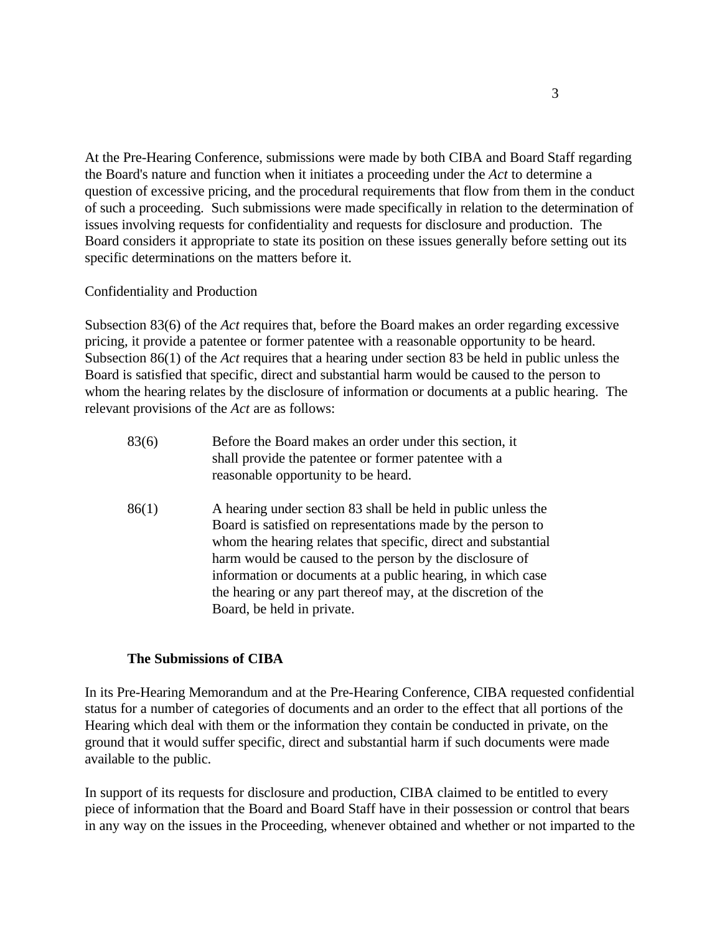At the Pre-Hearing Conference, submissions were made by both CIBA and Board Staff regarding the Board's nature and function when it initiates a proceeding under the *Act* to determine a question of excessive pricing, and the procedural requirements that flow from them in the conduct of such a proceeding. Such submissions were made specifically in relation to the determination of issues involving requests for confidentiality and requests for disclosure and production. The Board considers it appropriate to state its position on these issues generally before setting out its specific determinations on the matters before it.

### Confidentiality and Production

Subsection 83(6) of the *Act* requires that, before the Board makes an order regarding excessive pricing, it provide a patentee or former patentee with a reasonable opportunity to be heard. Subsection 86(1) of the *Act* requires that a hearing under section 83 be held in public unless the Board is satisfied that specific, direct and substantial harm would be caused to the person to whom the hearing relates by the disclosure of information or documents at a public hearing. The relevant provisions of the *Act* are as follows:

- 83(6) Before the Board makes an order under this section, it shall provide the patentee or former patentee with a reasonable opportunity to be heard.
- 86(1) A hearing under section 83 shall be held in public unless the Board is satisfied on representations made by the person to whom the hearing relates that specific, direct and substantial harm would be caused to the person by the disclosure of information or documents at a public hearing, in which case the hearing or any part thereof may, at the discretion of the Board, be held in private.

#### **The Submissions of CIBA**

In its Pre-Hearing Memorandum and at the Pre-Hearing Conference, CIBA requested confidential status for a number of categories of documents and an order to the effect that all portions of the Hearing which deal with them or the information they contain be conducted in private, on the ground that it would suffer specific, direct and substantial harm if such documents were made available to the public.

In support of its requests for disclosure and production, CIBA claimed to be entitled to every piece of information that the Board and Board Staff have in their possession or control that bears in any way on the issues in the Proceeding, whenever obtained and whether or not imparted to the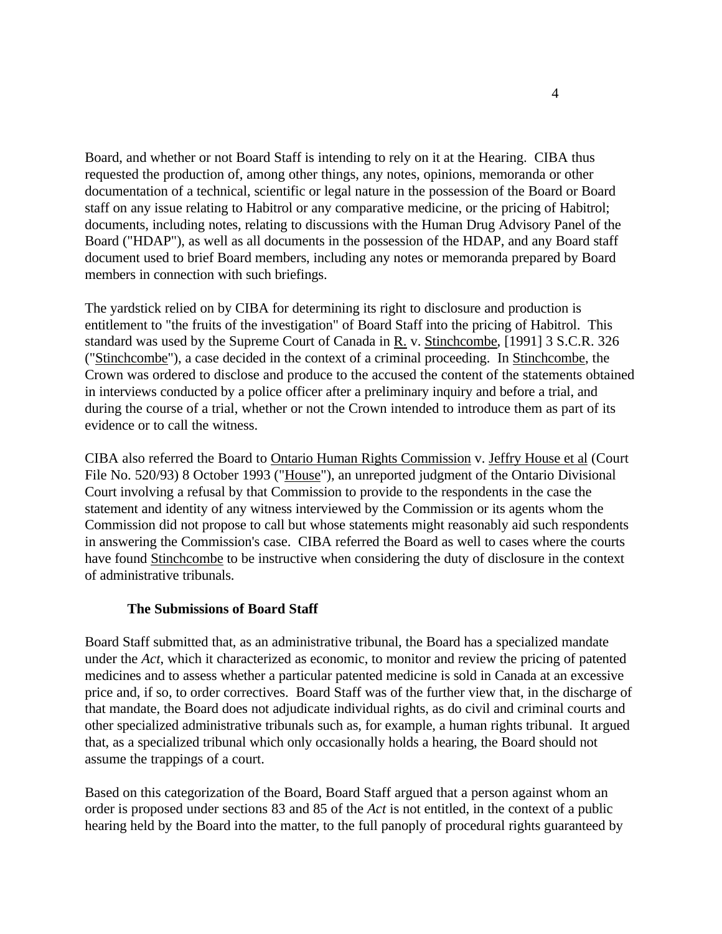Board, and whether or not Board Staff is intending to rely on it at the Hearing. CIBA thus requested the production of, among other things, any notes, opinions, memoranda or other documentation of a technical, scientific or legal nature in the possession of the Board or Board staff on any issue relating to Habitrol or any comparative medicine, or the pricing of Habitrol; documents, including notes, relating to discussions with the Human Drug Advisory Panel of the Board ("HDAP"), as well as all documents in the possession of the HDAP, and any Board staff document used to brief Board members, including any notes or memoranda prepared by Board members in connection with such briefings.

The yardstick relied on by CIBA for determining its right to disclosure and production is entitlement to "the fruits of the investigation" of Board Staff into the pricing of Habitrol. This standard was used by the Supreme Court of Canada in R. v. Stinchcombe, [1991] 3 S.C.R. 326 ("Stinchcombe"), a case decided in the context of a criminal proceeding. In Stinchcombe, the Crown was ordered to disclose and produce to the accused the content of the statements obtained in interviews conducted by a police officer after a preliminary inquiry and before a trial, and during the course of a trial, whether or not the Crown intended to introduce them as part of its evidence or to call the witness.

CIBA also referred the Board to Ontario Human Rights Commission v. Jeffry House et al (Court File No. 520/93) 8 October 1993 ("House"), an unreported judgment of the Ontario Divisional Court involving a refusal by that Commission to provide to the respondents in the case the statement and identity of any witness interviewed by the Commission or its agents whom the Commission did not propose to call but whose statements might reasonably aid such respondents in answering the Commission's case. CIBA referred the Board as well to cases where the courts have found Stinchcombe to be instructive when considering the duty of disclosure in the context of administrative tribunals.

## **The Submissions of Board Staff**

Board Staff submitted that, as an administrative tribunal, the Board has a specialized mandate under the *Act*, which it characterized as economic, to monitor and review the pricing of patented medicines and to assess whether a particular patented medicine is sold in Canada at an excessive price and, if so, to order correctives. Board Staff was of the further view that, in the discharge of that mandate, the Board does not adjudicate individual rights, as do civil and criminal courts and other specialized administrative tribunals such as, for example, a human rights tribunal. It argued that, as a specialized tribunal which only occasionally holds a hearing, the Board should not assume the trappings of a court.

Based on this categorization of the Board, Board Staff argued that a person against whom an order is proposed under sections 83 and 85 of the *Act* is not entitled, in the context of a public hearing held by the Board into the matter, to the full panoply of procedural rights guaranteed by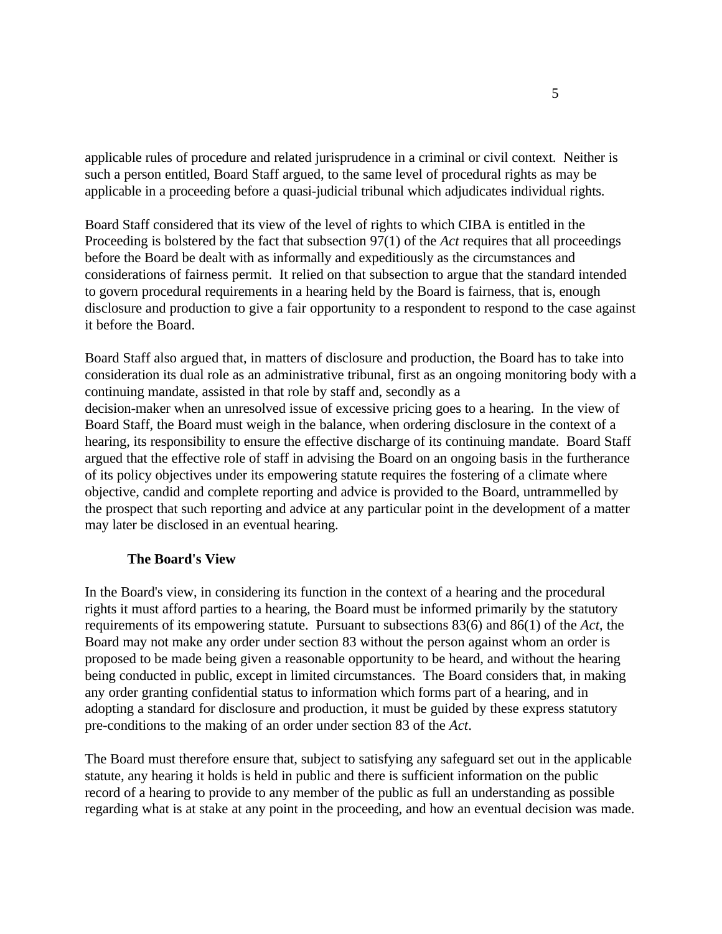applicable rules of procedure and related jurisprudence in a criminal or civil context. Neither is such a person entitled, Board Staff argued, to the same level of procedural rights as may be applicable in a proceeding before a quasi-judicial tribunal which adjudicates individual rights.

Board Staff considered that its view of the level of rights to which CIBA is entitled in the Proceeding is bolstered by the fact that subsection 97(1) of the *Act* requires that all proceedings before the Board be dealt with as informally and expeditiously as the circumstances and considerations of fairness permit. It relied on that subsection to argue that the standard intended to govern procedural requirements in a hearing held by the Board is fairness, that is, enough disclosure and production to give a fair opportunity to a respondent to respond to the case against it before the Board.

Board Staff also argued that, in matters of disclosure and production, the Board has to take into consideration its dual role as an administrative tribunal, first as an ongoing monitoring body with a continuing mandate, assisted in that role by staff and, secondly as a decision-maker when an unresolved issue of excessive pricing goes to a hearing. In the view of Board Staff, the Board must weigh in the balance, when ordering disclosure in the context of a hearing, its responsibility to ensure the effective discharge of its continuing mandate. Board Staff argued that the effective role of staff in advising the Board on an ongoing basis in the furtherance of its policy objectives under its empowering statute requires the fostering of a climate where objective, candid and complete reporting and advice is provided to the Board, untrammelled by the prospect that such reporting and advice at any particular point in the development of a matter may later be disclosed in an eventual hearing.

## **The Board's View**

In the Board's view, in considering its function in the context of a hearing and the procedural rights it must afford parties to a hearing, the Board must be informed primarily by the statutory requirements of its empowering statute. Pursuant to subsections 83(6) and 86(1) of the *Act*, the Board may not make any order under section 83 without the person against whom an order is proposed to be made being given a reasonable opportunity to be heard, and without the hearing being conducted in public, except in limited circumstances. The Board considers that, in making any order granting confidential status to information which forms part of a hearing, and in adopting a standard for disclosure and production, it must be guided by these express statutory pre-conditions to the making of an order under section 83 of the *Act*.

The Board must therefore ensure that, subject to satisfying any safeguard set out in the applicable statute, any hearing it holds is held in public and there is sufficient information on the public record of a hearing to provide to any member of the public as full an understanding as possible regarding what is at stake at any point in the proceeding, and how an eventual decision was made.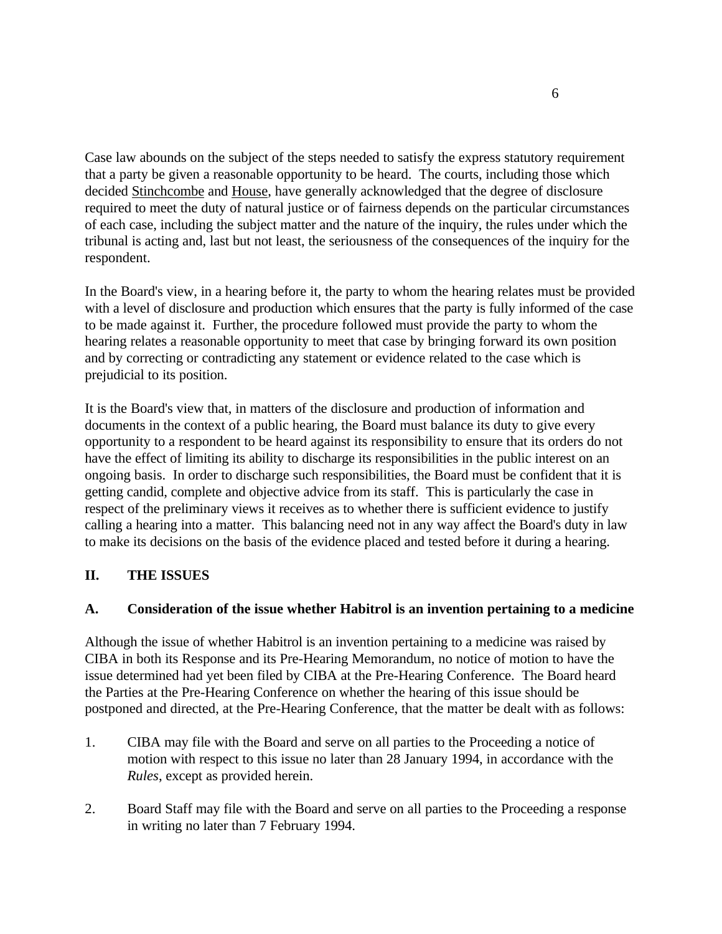Case law abounds on the subject of the steps needed to satisfy the express statutory requirement that a party be given a reasonable opportunity to be heard. The courts, including those which decided Stinchcombe and House, have generally acknowledged that the degree of disclosure required to meet the duty of natural justice or of fairness depends on the particular circumstances of each case, including the subject matter and the nature of the inquiry, the rules under which the tribunal is acting and, last but not least, the seriousness of the consequences of the inquiry for the respondent.

In the Board's view, in a hearing before it, the party to whom the hearing relates must be provided with a level of disclosure and production which ensures that the party is fully informed of the case to be made against it. Further, the procedure followed must provide the party to whom the hearing relates a reasonable opportunity to meet that case by bringing forward its own position and by correcting or contradicting any statement or evidence related to the case which is prejudicial to its position.

It is the Board's view that, in matters of the disclosure and production of information and documents in the context of a public hearing, the Board must balance its duty to give every opportunity to a respondent to be heard against its responsibility to ensure that its orders do not have the effect of limiting its ability to discharge its responsibilities in the public interest on an ongoing basis. In order to discharge such responsibilities, the Board must be confident that it is getting candid, complete and objective advice from its staff. This is particularly the case in respect of the preliminary views it receives as to whether there is sufficient evidence to justify calling a hearing into a matter. This balancing need not in any way affect the Board's duty in law to make its decisions on the basis of the evidence placed and tested before it during a hearing.

# **II. THE ISSUES**

# **A. Consideration of the issue whether Habitrol is an invention pertaining to a medicine**

Although the issue of whether Habitrol is an invention pertaining to a medicine was raised by CIBA in both its Response and its Pre-Hearing Memorandum, no notice of motion to have the issue determined had yet been filed by CIBA at the Pre-Hearing Conference. The Board heard the Parties at the Pre-Hearing Conference on whether the hearing of this issue should be postponed and directed, at the Pre-Hearing Conference, that the matter be dealt with as follows:

- 1. CIBA may file with the Board and serve on all parties to the Proceeding a notice of motion with respect to this issue no later than 28 January 1994, in accordance with the *Rules*, except as provided herein.
- 2. Board Staff may file with the Board and serve on all parties to the Proceeding a response in writing no later than 7 February 1994.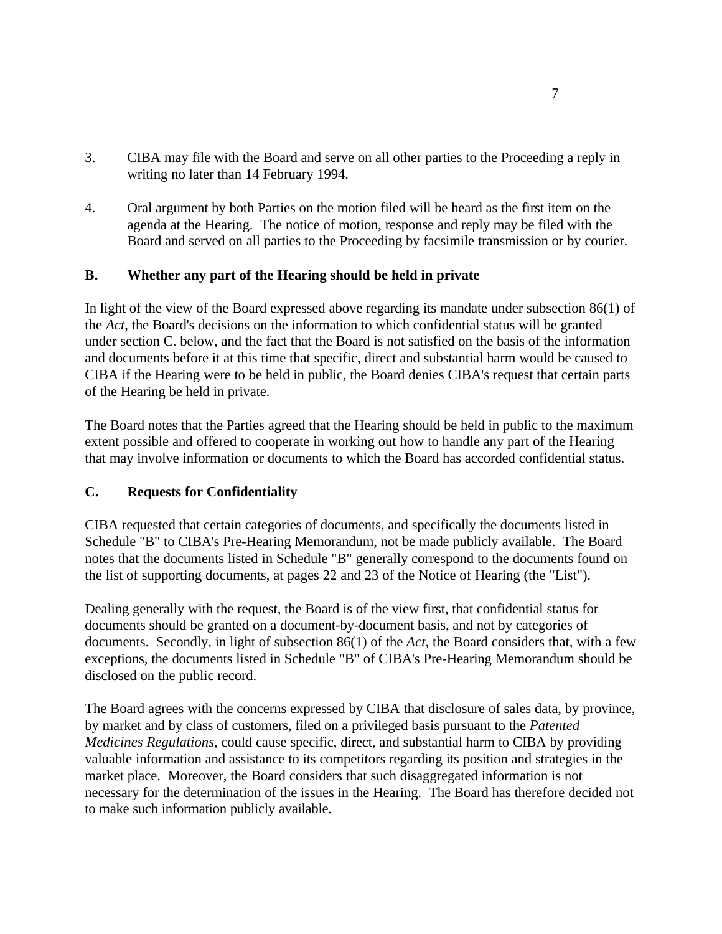- 3. CIBA may file with the Board and serve on all other parties to the Proceeding a reply in writing no later than 14 February 1994.
- 4. Oral argument by both Parties on the motion filed will be heard as the first item on the agenda at the Hearing. The notice of motion, response and reply may be filed with the Board and served on all parties to the Proceeding by facsimile transmission or by courier.

## **B. Whether any part of the Hearing should be held in private**

In light of the view of the Board expressed above regarding its mandate under subsection 86(1) of the *Act*, the Board's decisions on the information to which confidential status will be granted under section C. below, and the fact that the Board is not satisfied on the basis of the information and documents before it at this time that specific, direct and substantial harm would be caused to CIBA if the Hearing were to be held in public, the Board denies CIBA's request that certain parts of the Hearing be held in private.

The Board notes that the Parties agreed that the Hearing should be held in public to the maximum extent possible and offered to cooperate in working out how to handle any part of the Hearing that may involve information or documents to which the Board has accorded confidential status.

# **C. Requests for Confidentiality**

CIBA requested that certain categories of documents, and specifically the documents listed in Schedule "B" to CIBA's Pre-Hearing Memorandum, not be made publicly available. The Board notes that the documents listed in Schedule "B" generally correspond to the documents found on the list of supporting documents, at pages 22 and 23 of the Notice of Hearing (the "List").

Dealing generally with the request, the Board is of the view first, that confidential status for documents should be granted on a document-by-document basis, and not by categories of documents. Secondly, in light of subsection 86(1) of the *Act*, the Board considers that, with a few exceptions, the documents listed in Schedule "B" of CIBA's Pre-Hearing Memorandum should be disclosed on the public record.

The Board agrees with the concerns expressed by CIBA that disclosure of sales data, by province, by market and by class of customers, filed on a privileged basis pursuant to the *Patented Medicines Regulations*, could cause specific, direct, and substantial harm to CIBA by providing valuable information and assistance to its competitors regarding its position and strategies in the market place. Moreover, the Board considers that such disaggregated information is not necessary for the determination of the issues in the Hearing. The Board has therefore decided not to make such information publicly available.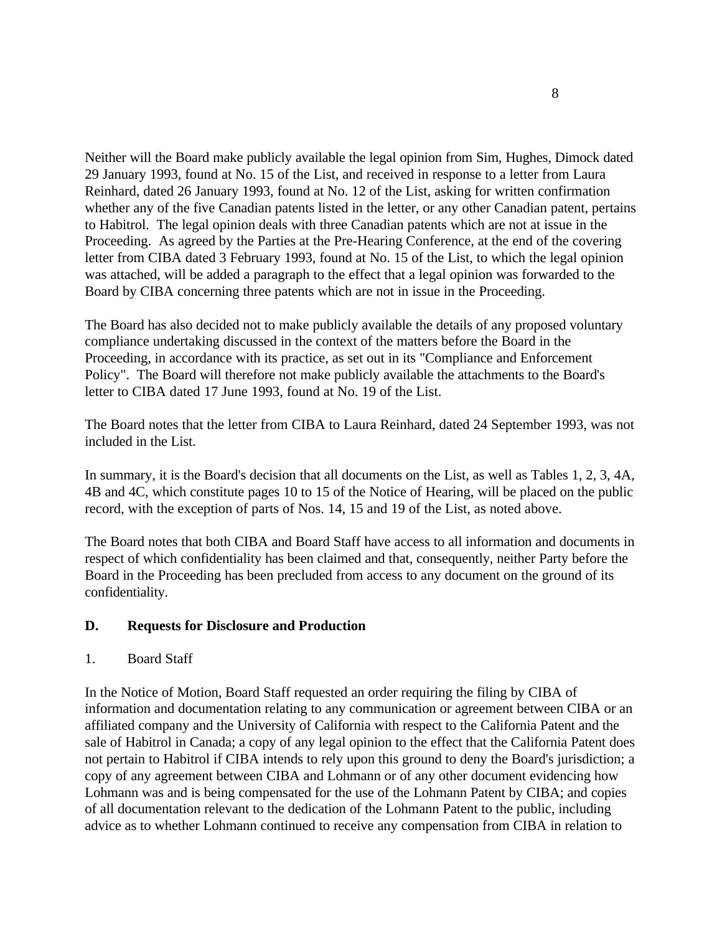Neither will the Board make publicly available the legal opinion from Sim, Hughes, Dimock dated 29 January 1993, found at No. 15 of the List, and received in response to a letter from Laura Reinhard, dated 26 January 1993, found at No. 12 of the List, asking for written confirmation whether any of the five Canadian patents listed in the letter, or any other Canadian patent, pertains to Habitrol. The legal opinion deals with three Canadian patents which are not at issue in the Proceeding. As agreed by the Parties at the Pre-Hearing Conference, at the end of the covering letter from CIBA dated 3 February 1993, found at No. 15 of the List, to which the legal opinion was attached, will be added a paragraph to the effect that a legal opinion was forwarded to the Board by CIBA concerning three patents which are not in issue in the Proceeding.

The Board has also decided not to make publicly available the details of any proposed voluntary compliance undertaking discussed in the context of the matters before the Board in the Proceeding, in accordance with its practice, as set out in its "Compliance and Enforcement Policy". The Board will therefore not make publicly available the attachments to the Board's letter to CIBA dated 17 June 1993, found at No. 19 of the List.

The Board notes that the letter from CIBA to Laura Reinhard, dated 24 September 1993, was not included in the List.

In summary, it is the Board's decision that all documents on the List, as well as Tables 1, 2, 3, 4A, 4B and 4C, which constitute pages 10 to 15 of the Notice of Hearing, will be placed on the public record, with the exception of parts of Nos. 14, 15 and 19 of the List, as noted above.

The Board notes that both CIBA and Board Staff have access to all information and documents in respect of which confidentiality has been claimed and that, consequently, neither Party before the Board in the Proceeding has been precluded from access to any document on the ground of its confidentiality.

## **D. Requests for Disclosure and Production**

## 1. Board Staff

In the Notice of Motion, Board Staff requested an order requiring the filing by CIBA of information and documentation relating to any communication or agreement between CIBA or an affiliated company and the University of California with respect to the California Patent and the sale of Habitrol in Canada; a copy of any legal opinion to the effect that the California Patent does not pertain to Habitrol if CIBA intends to rely upon this ground to deny the Board's jurisdiction; a copy of any agreement between CIBA and Lohmann or of any other document evidencing how Lohmann was and is being compensated for the use of the Lohmann Patent by CIBA; and copies of all documentation relevant to the dedication of the Lohmann Patent to the public, including advice as to whether Lohmann continued to receive any compensation from CIBA in relation to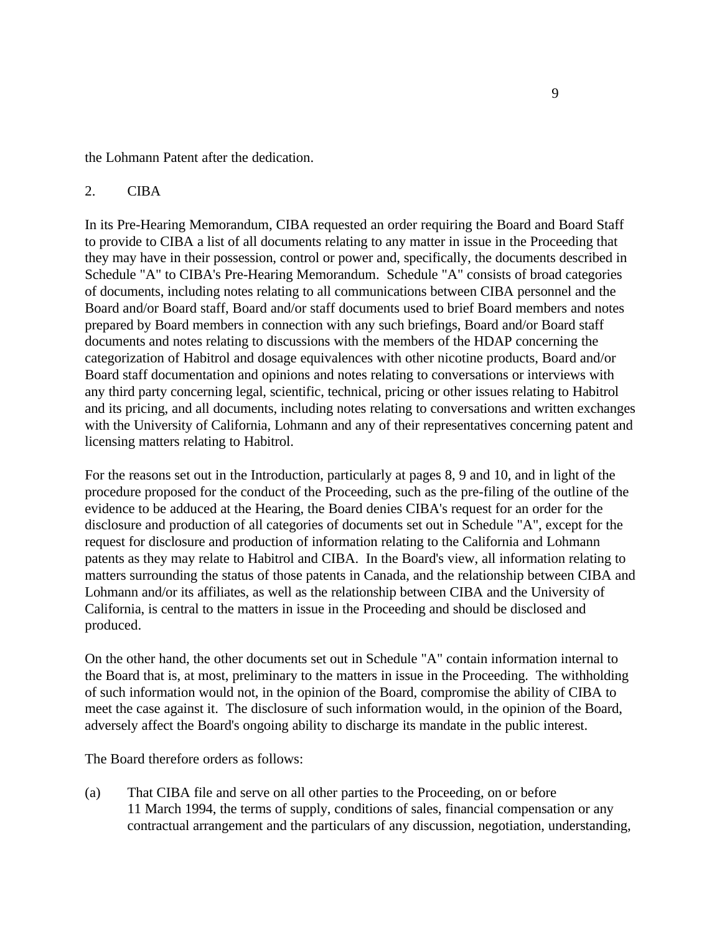the Lohmann Patent after the dedication.

### 2. CIBA

In its Pre-Hearing Memorandum, CIBA requested an order requiring the Board and Board Staff to provide to CIBA a list of all documents relating to any matter in issue in the Proceeding that they may have in their possession, control or power and, specifically, the documents described in Schedule "A" to CIBA's Pre-Hearing Memorandum. Schedule "A" consists of broad categories of documents, including notes relating to all communications between CIBA personnel and the Board and/or Board staff, Board and/or staff documents used to brief Board members and notes prepared by Board members in connection with any such briefings, Board and/or Board staff documents and notes relating to discussions with the members of the HDAP concerning the categorization of Habitrol and dosage equivalences with other nicotine products, Board and/or Board staff documentation and opinions and notes relating to conversations or interviews with any third party concerning legal, scientific, technical, pricing or other issues relating to Habitrol and its pricing, and all documents, including notes relating to conversations and written exchanges with the University of California, Lohmann and any of their representatives concerning patent and licensing matters relating to Habitrol.

For the reasons set out in the Introduction, particularly at pages 8, 9 and 10, and in light of the procedure proposed for the conduct of the Proceeding, such as the pre-filing of the outline of the evidence to be adduced at the Hearing, the Board denies CIBA's request for an order for the disclosure and production of all categories of documents set out in Schedule "A", except for the request for disclosure and production of information relating to the California and Lohmann patents as they may relate to Habitrol and CIBA. In the Board's view, all information relating to matters surrounding the status of those patents in Canada, and the relationship between CIBA and Lohmann and/or its affiliates, as well as the relationship between CIBA and the University of California, is central to the matters in issue in the Proceeding and should be disclosed and produced.

On the other hand, the other documents set out in Schedule "A" contain information internal to the Board that is, at most, preliminary to the matters in issue in the Proceeding. The withholding of such information would not, in the opinion of the Board, compromise the ability of CIBA to meet the case against it. The disclosure of such information would, in the opinion of the Board, adversely affect the Board's ongoing ability to discharge its mandate in the public interest.

The Board therefore orders as follows:

(a) That CIBA file and serve on all other parties to the Proceeding, on or before 11 March 1994, the terms of supply, conditions of sales, financial compensation or any contractual arrangement and the particulars of any discussion, negotiation, understanding,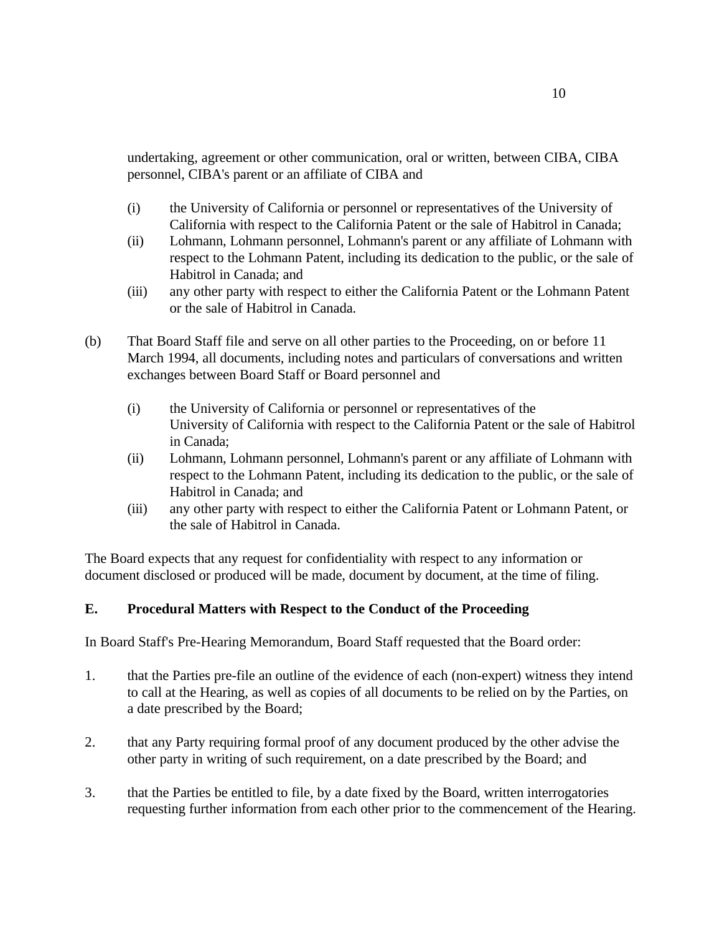undertaking, agreement or other communication, oral or written, between CIBA, CIBA personnel, CIBA's parent or an affiliate of CIBA and

- (i) the University of California or personnel or representatives of the University of California with respect to the California Patent or the sale of Habitrol in Canada;
- (ii) Lohmann, Lohmann personnel, Lohmann's parent or any affiliate of Lohmann with respect to the Lohmann Patent, including its dedication to the public, or the sale of Habitrol in Canada; and
- (iii) any other party with respect to either the California Patent or the Lohmann Patent or the sale of Habitrol in Canada.
- (b) That Board Staff file and serve on all other parties to the Proceeding, on or before 11 March 1994, all documents, including notes and particulars of conversations and written exchanges between Board Staff or Board personnel and
	- (i) the University of California or personnel or representatives of the University of California with respect to the California Patent or the sale of Habitrol in Canada;
	- (ii) Lohmann, Lohmann personnel, Lohmann's parent or any affiliate of Lohmann with respect to the Lohmann Patent, including its dedication to the public, or the sale of Habitrol in Canada; and
	- (iii) any other party with respect to either the California Patent or Lohmann Patent, or the sale of Habitrol in Canada.

The Board expects that any request for confidentiality with respect to any information or document disclosed or produced will be made, document by document, at the time of filing.

# **E. Procedural Matters with Respect to the Conduct of the Proceeding**

In Board Staff's Pre-Hearing Memorandum, Board Staff requested that the Board order:

- 1. that the Parties pre-file an outline of the evidence of each (non-expert) witness they intend to call at the Hearing, as well as copies of all documents to be relied on by the Parties, on a date prescribed by the Board;
- 2. that any Party requiring formal proof of any document produced by the other advise the other party in writing of such requirement, on a date prescribed by the Board; and
- 3. that the Parties be entitled to file, by a date fixed by the Board, written interrogatories requesting further information from each other prior to the commencement of the Hearing.